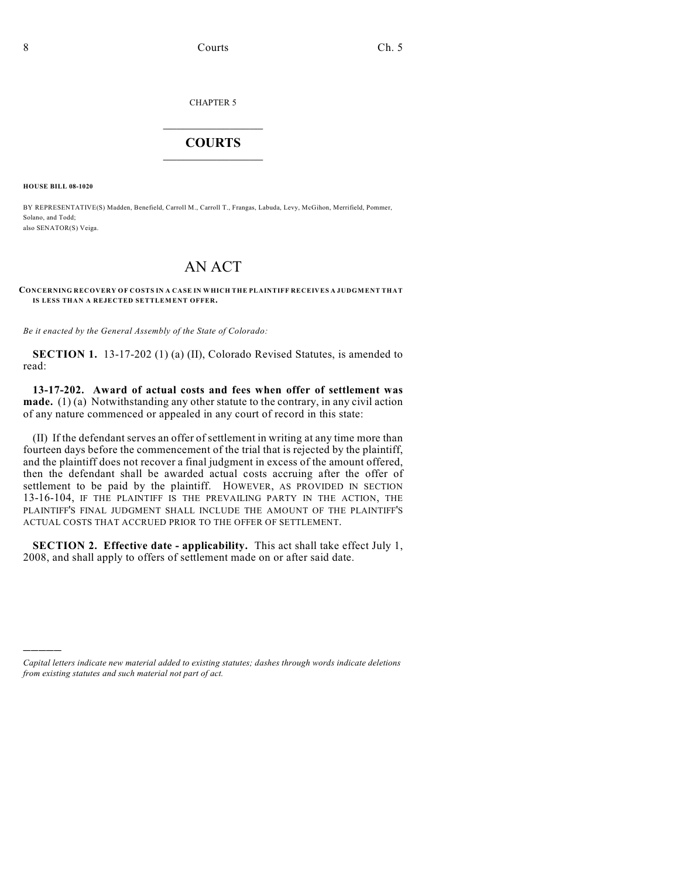CHAPTER 5

## $\mathcal{L}_\text{max}$  . The set of the set of the set of the set of the set of the set of the set of the set of the set of the set of the set of the set of the set of the set of the set of the set of the set of the set of the set **COURTS**  $\_$   $\_$   $\_$   $\_$   $\_$   $\_$   $\_$   $\_$

**HOUSE BILL 08-1020**

)))))

BY REPRESENTATIVE(S) Madden, Benefield, Carroll M., Carroll T., Frangas, Labuda, Levy, McGihon, Merrifield, Pommer, Solano, and Todd; also SENATOR(S) Veiga.

## AN ACT

## **CONCERNING RECOVERY OF COSTS IN A CASE IN WHICH THE PLAINTIFF RECEIVES A JUDGMENT THAT IS LESS THAN A REJECTED SETTLEMENT OFFER.**

*Be it enacted by the General Assembly of the State of Colorado:*

**SECTION 1.** 13-17-202 (1) (a) (II), Colorado Revised Statutes, is amended to read:

**13-17-202. Award of actual costs and fees when offer of settlement was made.** (1) (a) Notwithstanding any other statute to the contrary, in any civil action of any nature commenced or appealed in any court of record in this state:

(II) If the defendant serves an offer of settlement in writing at any time more than fourteen days before the commencement of the trial that is rejected by the plaintiff, and the plaintiff does not recover a final judgment in excess of the amount offered, then the defendant shall be awarded actual costs accruing after the offer of settlement to be paid by the plaintiff. HOWEVER, AS PROVIDED IN SECTION 13-16-104, IF THE PLAINTIFF IS THE PREVAILING PARTY IN THE ACTION, THE PLAINTIFF'S FINAL JUDGMENT SHALL INCLUDE THE AMOUNT OF THE PLAINTIFF'S ACTUAL COSTS THAT ACCRUED PRIOR TO THE OFFER OF SETTLEMENT.

**SECTION 2. Effective date - applicability.** This act shall take effect July 1, 2008, and shall apply to offers of settlement made on or after said date.

*Capital letters indicate new material added to existing statutes; dashes through words indicate deletions from existing statutes and such material not part of act.*